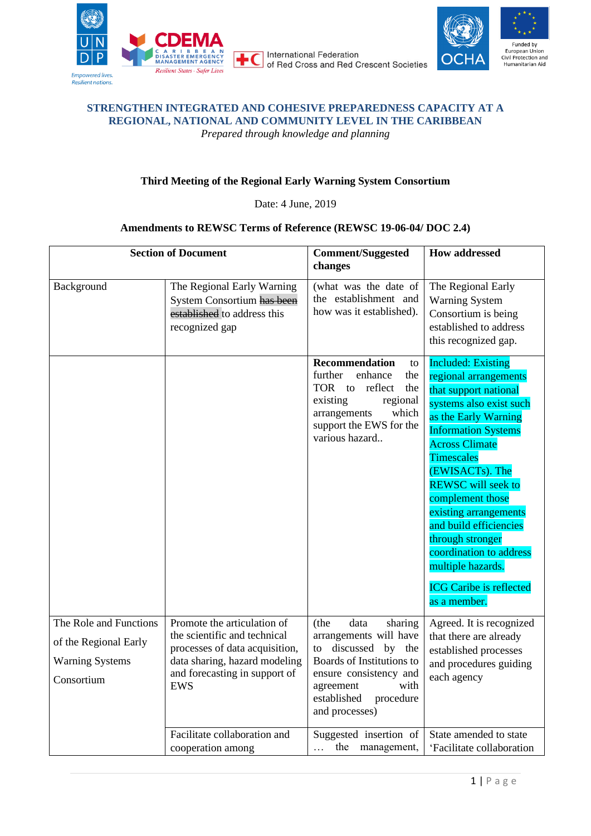

International Federation of Red Cross and Red Crescent Societies



## **STRENGTHEN INTEGRATED AND COHESIVE PREPAREDNESS CAPACITY AT A REGIONAL, NATIONAL AND COMMUNITY LEVEL IN THE CARIBBEAN** *Prepared through knowledge and planning*

## **Third Meeting of the Regional Early Warning System Consortium**

Date: 4 June, 2019

## **Amendments to REWSC Terms of Reference (REWSC 19-06-04/ DOC 2.4)**

| <b>Section of Document</b>                                                              |                                                                                                                                                                               | <b>Comment/Suggested</b><br>changes                                                                                                                                                                   | <b>How addressed</b>                                                                                                                                                                                                                                                                                                                                                                                                                                    |
|-----------------------------------------------------------------------------------------|-------------------------------------------------------------------------------------------------------------------------------------------------------------------------------|-------------------------------------------------------------------------------------------------------------------------------------------------------------------------------------------------------|---------------------------------------------------------------------------------------------------------------------------------------------------------------------------------------------------------------------------------------------------------------------------------------------------------------------------------------------------------------------------------------------------------------------------------------------------------|
| Background                                                                              | The Regional Early Warning<br>System Consortium has been<br>established to address this<br>recognized gap                                                                     | (what was the date of<br>the establishment and<br>how was it established).                                                                                                                            | The Regional Early<br><b>Warning System</b><br>Consortium is being<br>established to address<br>this recognized gap.                                                                                                                                                                                                                                                                                                                                    |
|                                                                                         |                                                                                                                                                                               | <b>Recommendation</b><br>to<br>further<br>enhance<br>the<br>TOR to<br>reflect<br>the<br>regional<br>existing<br>which<br>arrangements<br>support the EWS for the<br>various hazard                    | <b>Included: Existing</b><br>regional arrangements<br>that support national<br>systems also exist such<br>as the Early Warning<br><b>Information Systems</b><br><b>Across Climate</b><br><b>Timescales</b><br>(EWISACTs). The<br><b>REWSC</b> will seek to<br>complement those<br>existing arrangements<br>and build efficiencies<br>through stronger<br>coordination to address<br>multiple hazards.<br><b>ICG Caribe is reflected</b><br>as a member. |
| The Role and Functions<br>of the Regional Early<br><b>Warning Systems</b><br>Consortium | Promote the articulation of<br>the scientific and technical<br>processes of data acquisition,<br>data sharing, hazard modeling<br>and forecasting in support of<br><b>EWS</b> | (the<br>data<br>sharing<br>arrangements will have<br>discussed by the<br>to<br>Boards of Institutions to<br>ensure consistency and<br>with<br>agreement<br>established<br>procedure<br>and processes) | Agreed. It is recognized<br>that there are already<br>established processes<br>and procedures guiding<br>each agency                                                                                                                                                                                                                                                                                                                                    |
|                                                                                         | Facilitate collaboration and<br>cooperation among                                                                                                                             | Suggested insertion of<br>the management,<br>$\cdots$                                                                                                                                                 | State amended to state<br>'Facilitate collaboration                                                                                                                                                                                                                                                                                                                                                                                                     |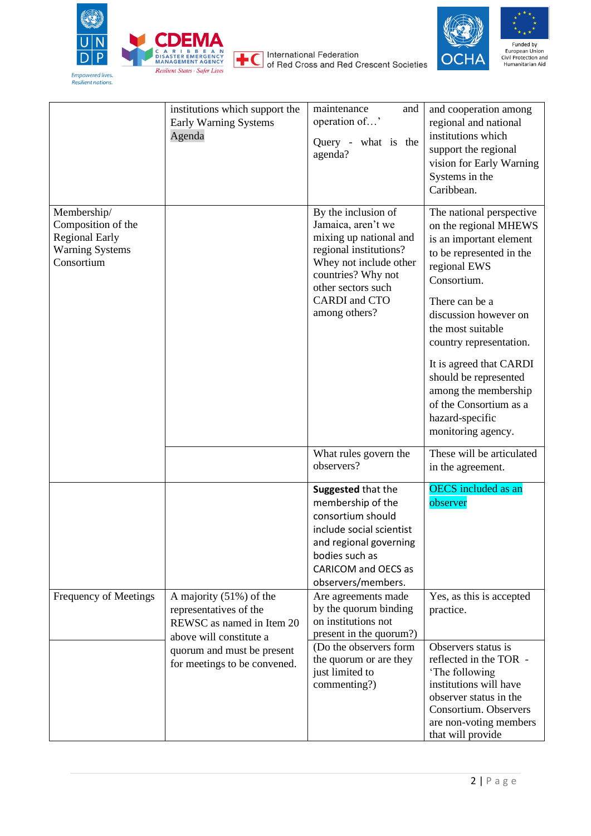

Agenda

institutions which support the Early Warning Systems

International Federation<br>International Federation<br>Grescent Societies



| maintenance<br>and<br>operation of'<br>what is<br>the<br>Query -<br>agenda?                                                                                                                           | and cooperation among<br>regional and national<br>institutions which<br>support the regional<br>vision for Early Warning<br>Systems in the<br>Caribbean.                           |
|-------------------------------------------------------------------------------------------------------------------------------------------------------------------------------------------------------|------------------------------------------------------------------------------------------------------------------------------------------------------------------------------------|
| By the inclusion of<br>Jamaica, aren't we<br>mixing up national and<br>regional institutions?<br>Whey not include other<br>countries? Why not<br>other sectors such<br>CARDI and CTO<br>among others? | The national perspective<br>on the regional MHEWS<br>is an important element<br>to be represented in the<br>regional EWS<br>Consortium.<br>There can be a<br>discussion however on |

<span id="page-1-0"></span>

| Membership/<br>Composition of the<br><b>Regional Early</b><br><b>Warning Systems</b><br>Consortium |                                                                                                             | By the inclusion of<br>Jamaica, aren't we<br>mixing up national and<br>regional institutions?<br>Whey not include other<br>countries? Why not<br>other sectors such<br><b>CARDI</b> and CTO<br>among others? | The national perspective<br>on the regional MHEWS<br>is an important element<br>to be represented in the<br>regional EWS<br>Consortium.<br>There can be a<br>discussion however on<br>the most suitable<br>country representation.<br>It is agreed that CARDI<br>should be represented<br>among the membership<br>of the Consortium as a<br>hazard-specific<br>monitoring agency. |
|----------------------------------------------------------------------------------------------------|-------------------------------------------------------------------------------------------------------------|--------------------------------------------------------------------------------------------------------------------------------------------------------------------------------------------------------------|-----------------------------------------------------------------------------------------------------------------------------------------------------------------------------------------------------------------------------------------------------------------------------------------------------------------------------------------------------------------------------------|
|                                                                                                    |                                                                                                             | What rules govern the<br>observers?                                                                                                                                                                          | These will be articulated<br>in the agreement.                                                                                                                                                                                                                                                                                                                                    |
|                                                                                                    |                                                                                                             | Suggested that the<br>membership of the<br>consortium should<br>include social scientist<br>and regional governing<br>bodies such as<br>CARICOM and OECS as<br>observers/members.                            | <b>OECS</b> included as an<br>observer                                                                                                                                                                                                                                                                                                                                            |
| Frequency of Meetings                                                                              | A majority $(51%)$ of the<br>representatives of the<br>REWSC as named in Item 20<br>above will constitute a | Are agreements made<br>by the quorum binding<br>on institutions not<br>present in the quorum?)                                                                                                               | Yes, as this is accepted<br>practice.                                                                                                                                                                                                                                                                                                                                             |
|                                                                                                    | quorum and must be present<br>for meetings to be convened.                                                  | (Do the observers form)<br>the quorum or are they<br>just limited to<br>commenting?)                                                                                                                         | Observers status is<br>reflected in the TOR -<br>'The following<br>institutions will have<br>observer status in the<br>Consortium. Observers                                                                                                                                                                                                                                      |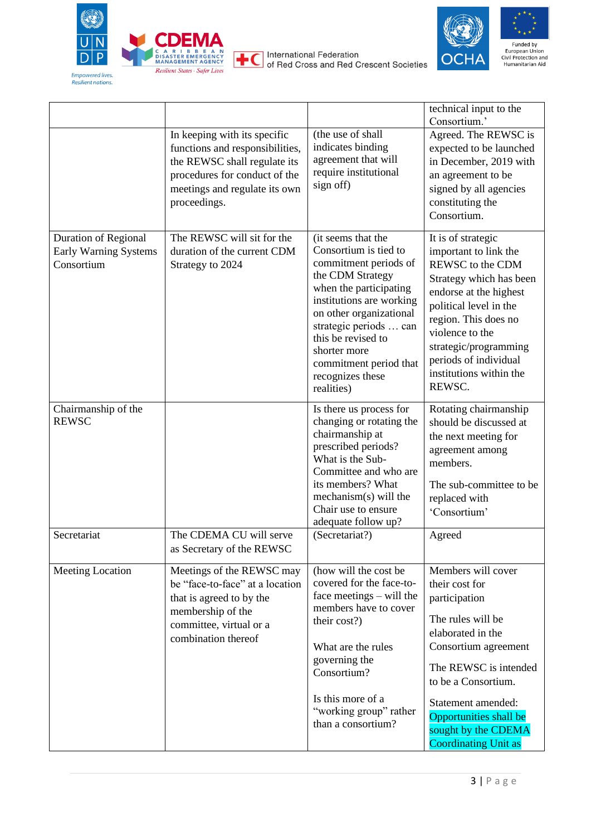

International Federation<br>of Red Cross and Red Crescent Societies



|                                                             | In keeping with its specific<br>functions and responsibilities,<br>the REWSC shall regulate its<br>procedures for conduct of the<br>meetings and regulate its own<br>proceedings. | (the use of shall<br>indicates binding<br>agreement that will<br>require institutional<br>sign off)                                                                                                                                                                                                   | technical input to the<br>Consortium.'<br>Agreed. The REWSC is<br>expected to be launched<br>in December, 2019 with<br>an agreement to be<br>signed by all agencies<br>constituting the<br>Consortium.                                                                           |
|-------------------------------------------------------------|-----------------------------------------------------------------------------------------------------------------------------------------------------------------------------------|-------------------------------------------------------------------------------------------------------------------------------------------------------------------------------------------------------------------------------------------------------------------------------------------------------|----------------------------------------------------------------------------------------------------------------------------------------------------------------------------------------------------------------------------------------------------------------------------------|
| Duration of Regional<br>Early Warning Systems<br>Consortium | The REWSC will sit for the<br>duration of the current CDM<br>Strategy to 2024                                                                                                     | (it seems that the<br>Consortium is tied to<br>commitment periods of<br>the CDM Strategy<br>when the participating<br>institutions are working<br>on other organizational<br>strategic periods  can<br>this be revised to<br>shorter more<br>commitment period that<br>recognizes these<br>realities) | It is of strategic<br>important to link the<br>REWSC to the CDM<br>Strategy which has been<br>endorse at the highest<br>political level in the<br>region. This does no<br>violence to the<br>strategic/programming<br>periods of individual<br>institutions within the<br>REWSC. |
| Chairmanship of the<br><b>REWSC</b>                         |                                                                                                                                                                                   | Is there us process for<br>changing or rotating the<br>chairmanship at<br>prescribed periods?<br>What is the Sub-<br>Committee and who are<br>its members? What<br>mechanism(s) will the<br>Chair use to ensure<br>adequate follow up?                                                                | Rotating chairmanship<br>should be discussed at<br>the next meeting for<br>agreement among<br>members.<br>The sub-committee to be<br>replaced with<br>'Consortium'                                                                                                               |
| Secretariat                                                 | The CDEMA CU will serve<br>as Secretary of the REWSC                                                                                                                              | (Secretariat?)                                                                                                                                                                                                                                                                                        | Agreed                                                                                                                                                                                                                                                                           |
| Meeting Location                                            | Meetings of the REWSC may<br>be "face-to-face" at a location<br>that is agreed to by the<br>membership of the<br>committee, virtual or a<br>combination thereof                   | (how will the cost be<br>covered for the face-to-<br>face meetings $-$ will the<br>members have to cover<br>their cost?)<br>What are the rules<br>governing the<br>Consortium?<br>Is this more of a<br>"working group" rather<br>than a consortium?                                                   | Members will cover<br>their cost for<br>participation<br>The rules will be<br>elaborated in the<br>Consortium agreement<br>The REWSC is intended<br>to be a Consortium.<br>Statement amended:<br>Opportunities shall be<br>sought by the CDEMA<br><b>Coordinating Unit as</b>    |